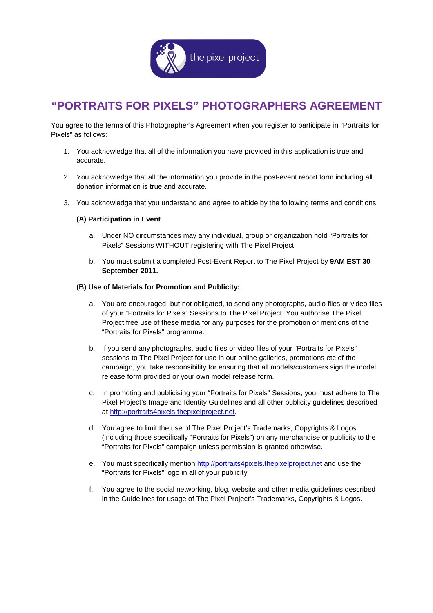

## **"PORTRAITS FOR PIXELS" PHOTOGRAPHERS AGREEMENT**

You agree to the terms of this Photographer's Agreement when you register to participate in "Portraits for Pixels" as follows:

- 1. You acknowledge that all of the information you have provided in this application is true and accurate.
- 2. You acknowledge that all the information you provide in the post-event report form including all donation information is true and accurate.
- 3. You acknowledge that you understand and agree to abide by the following terms and conditions.

## **(A) Participation in Event**

- a. Under NO circumstances may any individual, group or organization hold "Portraits for Pixels" Sessions WITHOUT registering with The Pixel Project.
- b. You must submit a completed Post-Event Report to The Pixel Project by **9AM EST 30 September 2011.**

## **(B) Use of Materials for Promotion and Publicity:**

- a. You are encouraged, but not obligated, to send any photographs, audio files or video files of your "Portraits for Pixels" Sessions to The Pixel Project. You authorise The Pixel Project free use of these media for any purposes for the promotion or mentions of the "Portraits for Pixels" programme.
- b. If you send any photographs, audio files or video files of your "Portraits for Pixels" sessions to The Pixel Project for use in our online galleries, promotions etc of the campaign, you take responsibility for ensuring that all models/customers sign the model release form provided or your own model release form.
- c. In promoting and publicising your "Portraits for Pixels" Sessions, you must adhere to The Pixel Project's Image and Identity Guidelines and all other publicity guidelines described at http://portraits4pixels.thepixelproject.net.
- d. You agree to limit the use of The Pixel Project's Trademarks, Copyrights & Logos (including those specifically "Portraits for Pixels") on any merchandise or publicity to the "Portraits for Pixels" campaign unless permission is granted otherwise.
- e. You must specifically mention http://portraits4pixels.thepixelproject.net and use the "Portraits for Pixels" logo in all of your publicity.
- f. You agree to the social networking, blog, website and other media guidelines described in the Guidelines for usage of The Pixel Project's Trademarks, Copyrights & Logos.